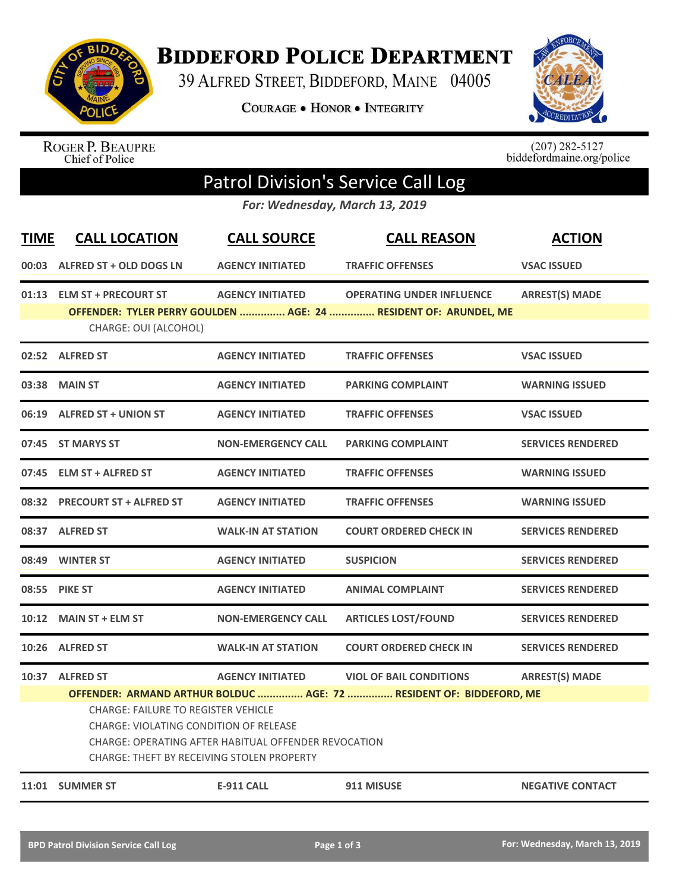

**BIDDEFORD POLICE DEPARTMENT** 

39 ALFRED STREET, BIDDEFORD, MAINE 04005

**COURAGE . HONOR . INTEGRITY** 



ROGER P. BEAUPRE<br>Chief of Police

 $(207)$  282-5127<br>biddefordmaine.org/police

## Patrol Division's Service Call Log

*For: Wednesday, March 13, 2019*

| <b>TIME</b> | <b>CALL LOCATION</b>                                                                                                                                                                                                                                                     | <b>CALL SOURCE</b>        | <b>CALL REASON</b>                                                                                   | <b>ACTION</b>            |  |  |  |
|-------------|--------------------------------------------------------------------------------------------------------------------------------------------------------------------------------------------------------------------------------------------------------------------------|---------------------------|------------------------------------------------------------------------------------------------------|--------------------------|--|--|--|
|             | 00:03 ALFRED ST + OLD DOGS LN                                                                                                                                                                                                                                            | <b>AGENCY INITIATED</b>   | <b>TRAFFIC OFFENSES</b>                                                                              | <b>VSAC ISSUED</b>       |  |  |  |
|             | 01:13 ELM ST + PRECOURT ST<br>CHARGE: OUI (ALCOHOL)                                                                                                                                                                                                                      | <b>AGENCY INITIATED</b>   | <b>OPERATING UNDER INFLUENCE</b><br>OFFENDER: TYLER PERRY GOULDEN  AGE: 24  RESIDENT OF: ARUNDEL, ME | <b>ARREST(S) MADE</b>    |  |  |  |
|             | 02:52 ALFRED ST                                                                                                                                                                                                                                                          | <b>AGENCY INITIATED</b>   | <b>TRAFFIC OFFENSES</b>                                                                              | <b>VSAC ISSUED</b>       |  |  |  |
| 03:38       | <b>MAIN ST</b>                                                                                                                                                                                                                                                           | <b>AGENCY INITIATED</b>   | <b>PARKING COMPLAINT</b>                                                                             | <b>WARNING ISSUED</b>    |  |  |  |
|             | 06:19 ALFRED ST + UNION ST                                                                                                                                                                                                                                               | <b>AGENCY INITIATED</b>   | <b>TRAFFIC OFFENSES</b>                                                                              | <b>VSAC ISSUED</b>       |  |  |  |
|             | 07:45 ST MARYS ST                                                                                                                                                                                                                                                        | <b>NON-EMERGENCY CALL</b> | <b>PARKING COMPLAINT</b>                                                                             | <b>SERVICES RENDERED</b> |  |  |  |
|             | 07:45 ELM ST + ALFRED ST                                                                                                                                                                                                                                                 | <b>AGENCY INITIATED</b>   | <b>TRAFFIC OFFENSES</b>                                                                              | <b>WARNING ISSUED</b>    |  |  |  |
|             | 08:32 PRECOURT ST + ALFRED ST                                                                                                                                                                                                                                            | <b>AGENCY INITIATED</b>   | <b>TRAFFIC OFFENSES</b>                                                                              | <b>WARNING ISSUED</b>    |  |  |  |
|             | 08:37 ALFRED ST                                                                                                                                                                                                                                                          | <b>WALK-IN AT STATION</b> | <b>COURT ORDERED CHECK IN</b>                                                                        | <b>SERVICES RENDERED</b> |  |  |  |
|             | 08:49 WINTER ST                                                                                                                                                                                                                                                          | <b>AGENCY INITIATED</b>   | <b>SUSPICION</b>                                                                                     | <b>SERVICES RENDERED</b> |  |  |  |
|             | 08:55 PIKE ST                                                                                                                                                                                                                                                            | <b>AGENCY INITIATED</b>   | <b>ANIMAL COMPLAINT</b>                                                                              | <b>SERVICES RENDERED</b> |  |  |  |
| 10:12       | <b>MAIN ST + ELM ST</b>                                                                                                                                                                                                                                                  | <b>NON-EMERGENCY CALL</b> | <b>ARTICLES LOST/FOUND</b>                                                                           | <b>SERVICES RENDERED</b> |  |  |  |
|             | 10:26 ALFRED ST                                                                                                                                                                                                                                                          | <b>WALK-IN AT STATION</b> | <b>COURT ORDERED CHECK IN</b>                                                                        | <b>SERVICES RENDERED</b> |  |  |  |
|             | 10:37 ALFRED ST                                                                                                                                                                                                                                                          | <b>AGENCY INITIATED</b>   | <b>VIOL OF BAIL CONDITIONS</b>                                                                       | <b>ARREST(S) MADE</b>    |  |  |  |
|             | OFFENDER: ARMAND ARTHUR BOLDUC  AGE: 72  RESIDENT OF: BIDDEFORD, ME<br><b>CHARGE: FAILURE TO REGISTER VEHICLE</b><br><b>CHARGE: VIOLATING CONDITION OF RELEASE</b><br>CHARGE: OPERATING AFTER HABITUAL OFFENDER REVOCATION<br>CHARGE: THEFT BY RECEIVING STOLEN PROPERTY |                           |                                                                                                      |                          |  |  |  |
|             | 11:01 SUMMER ST                                                                                                                                                                                                                                                          | <b>E-911 CALL</b>         | 911 MISUSE                                                                                           | <b>NEGATIVE CONTACT</b>  |  |  |  |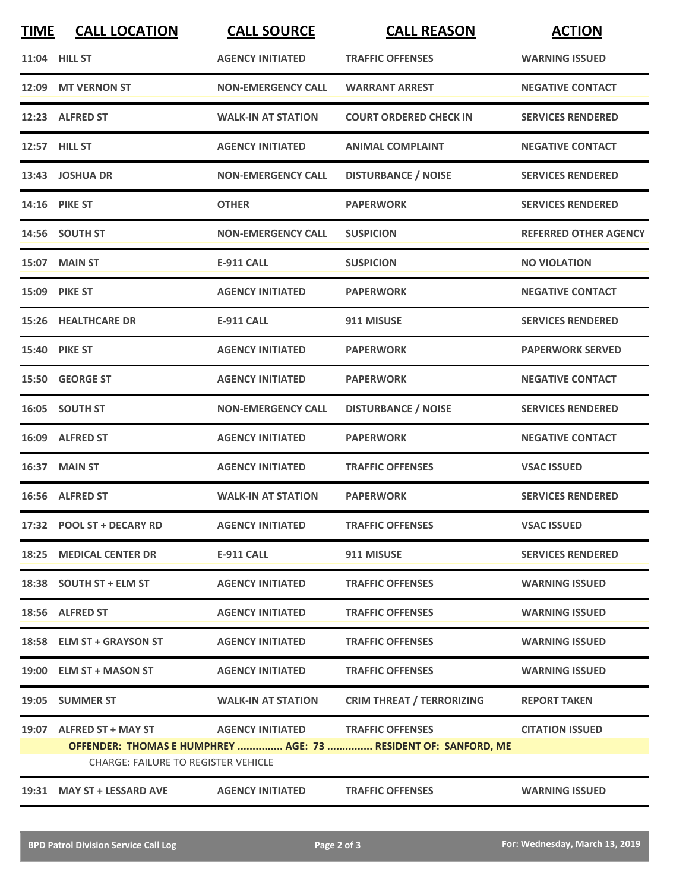| <b>TIME</b>                                                                                                  | <b>CALL LOCATION</b>       | <b>CALL SOURCE</b>        | <b>CALL REASON</b>               | <b>ACTION</b>                |  |  |
|--------------------------------------------------------------------------------------------------------------|----------------------------|---------------------------|----------------------------------|------------------------------|--|--|
|                                                                                                              | 11:04 HILL ST              | <b>AGENCY INITIATED</b>   | <b>TRAFFIC OFFENSES</b>          | <b>WARNING ISSUED</b>        |  |  |
|                                                                                                              | 12:09 MT VERNON ST         | <b>NON-EMERGENCY CALL</b> | <b>WARRANT ARREST</b>            | <b>NEGATIVE CONTACT</b>      |  |  |
|                                                                                                              | 12:23 ALFRED ST            | <b>WALK-IN AT STATION</b> | <b>COURT ORDERED CHECK IN</b>    | <b>SERVICES RENDERED</b>     |  |  |
|                                                                                                              | 12:57 HILL ST              | <b>AGENCY INITIATED</b>   | <b>ANIMAL COMPLAINT</b>          | <b>NEGATIVE CONTACT</b>      |  |  |
|                                                                                                              | 13:43 JOSHUA DR            | <b>NON-EMERGENCY CALL</b> | <b>DISTURBANCE / NOISE</b>       | <b>SERVICES RENDERED</b>     |  |  |
|                                                                                                              | 14:16 PIKE ST              | <b>OTHER</b>              | <b>PAPERWORK</b>                 | <b>SERVICES RENDERED</b>     |  |  |
|                                                                                                              | 14:56 SOUTH ST             | <b>NON-EMERGENCY CALL</b> | <b>SUSPICION</b>                 | <b>REFERRED OTHER AGENCY</b> |  |  |
|                                                                                                              | 15:07 MAIN ST              | <b>E-911 CALL</b>         | <b>SUSPICION</b>                 | <b>NO VIOLATION</b>          |  |  |
|                                                                                                              | 15:09 PIKE ST              | <b>AGENCY INITIATED</b>   | <b>PAPERWORK</b>                 | <b>NEGATIVE CONTACT</b>      |  |  |
|                                                                                                              | <b>15:26 HEALTHCARE DR</b> | <b>E-911 CALL</b>         | 911 MISUSE                       | <b>SERVICES RENDERED</b>     |  |  |
|                                                                                                              | <b>15:40 PIKE ST</b>       | <b>AGENCY INITIATED</b>   | <b>PAPERWORK</b>                 | <b>PAPERWORK SERVED</b>      |  |  |
|                                                                                                              | 15:50 GEORGE ST            | <b>AGENCY INITIATED</b>   | <b>PAPERWORK</b>                 | <b>NEGATIVE CONTACT</b>      |  |  |
|                                                                                                              | 16:05 SOUTH ST             | <b>NON-EMERGENCY CALL</b> | <b>DISTURBANCE / NOISE</b>       | <b>SERVICES RENDERED</b>     |  |  |
| 16:09                                                                                                        | <b>ALFRED ST</b>           | <b>AGENCY INITIATED</b>   | <b>PAPERWORK</b>                 | <b>NEGATIVE CONTACT</b>      |  |  |
| 16:37                                                                                                        | <b>MAIN ST</b>             | <b>AGENCY INITIATED</b>   | <b>TRAFFIC OFFENSES</b>          | <b>VSAC ISSUED</b>           |  |  |
|                                                                                                              | 16:56 ALFRED ST            | <b>WALK-IN AT STATION</b> | <b>PAPERWORK</b>                 | <b>SERVICES RENDERED</b>     |  |  |
|                                                                                                              | 17:32 POOL ST + DECARY RD  | <b>AGENCY INITIATED</b>   | <b>TRAFFIC OFFENSES</b>          | <b>VSAC ISSUED</b>           |  |  |
|                                                                                                              | 18:25 MEDICAL CENTER DR    | <b>E-911 CALL</b>         | 911 MISUSE                       | <b>SERVICES RENDERED</b>     |  |  |
|                                                                                                              | 18:38 SOUTH ST + ELM ST    | <b>AGENCY INITIATED</b>   | <b>TRAFFIC OFFENSES</b>          | <b>WARNING ISSUED</b>        |  |  |
|                                                                                                              | 18:56 ALFRED ST            | <b>AGENCY INITIATED</b>   | <b>TRAFFIC OFFENSES</b>          | <b>WARNING ISSUED</b>        |  |  |
|                                                                                                              | 18:58 ELM ST + GRAYSON ST  | <b>AGENCY INITIATED</b>   | <b>TRAFFIC OFFENSES</b>          | <b>WARNING ISSUED</b>        |  |  |
|                                                                                                              | 19:00 ELM ST + MASON ST    | <b>AGENCY INITIATED</b>   | <b>TRAFFIC OFFENSES</b>          | <b>WARNING ISSUED</b>        |  |  |
|                                                                                                              | 19:05 SUMMER ST            | <b>WALK-IN AT STATION</b> | <b>CRIM THREAT / TERRORIZING</b> | <b>REPORT TAKEN</b>          |  |  |
|                                                                                                              | 19:07 ALFRED ST + MAY ST   | <b>AGENCY INITIATED</b>   | <b>TRAFFIC OFFENSES</b>          | <b>CITATION ISSUED</b>       |  |  |
| OFFENDER: THOMAS E HUMPHREY  AGE: 73  RESIDENT OF: SANFORD, ME<br><b>CHARGE: FAILURE TO REGISTER VEHICLE</b> |                            |                           |                                  |                              |  |  |
|                                                                                                              | 19:31 MAY ST + LESSARD AVE | <b>AGENCY INITIATED</b>   | <b>TRAFFIC OFFENSES</b>          | <b>WARNING ISSUED</b>        |  |  |